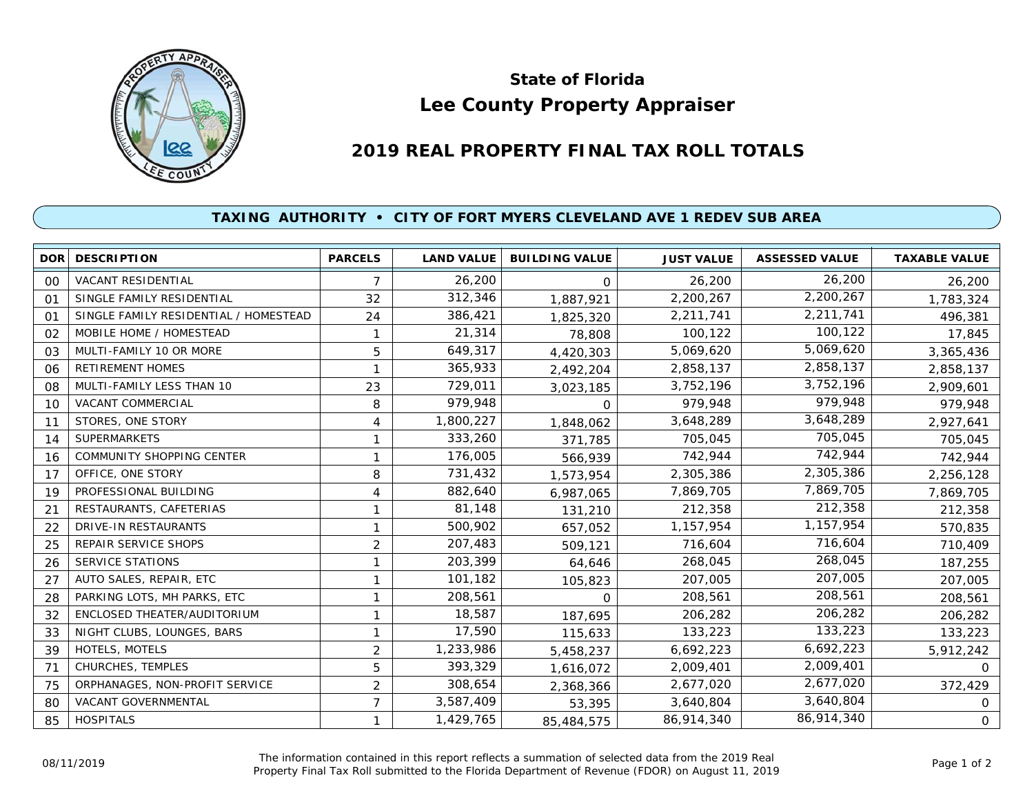

## **Lee County Property Appraiser State of Florida**

## **2019 REAL PROPERTY FINAL TAX ROLL TOTALS**

## **TAXING AUTHORITY • CITY OF FORT MYERS CLEVELAND AVE 1 REDEV SUB AREA**

|    | <b>DOR DESCRIPTION</b>                | <b>PARCELS</b> | <b>LAND VALUE</b> | <b>BUILDING VALUE</b> | <b>JUST VALUE</b> | <b>ASSESSED VALUE</b> | <b>TAXABLE VALUE</b> |
|----|---------------------------------------|----------------|-------------------|-----------------------|-------------------|-----------------------|----------------------|
| 00 | VACANT RESIDENTIAL                    | $\overline{7}$ | 26,200            | 0                     | 26,200            | 26,200                | 26,200               |
| 01 | SINGLE FAMILY RESIDENTIAL             | 32             | 312,346           | 1,887,921             | 2,200,267         | 2,200,267             | 1,783,324            |
| 01 | SINGLE FAMILY RESIDENTIAL / HOMESTEAD | 24             | 386,421           | 1,825,320             | 2,211,741         | 2,211,741             | 496,381              |
| 02 | MOBILE HOME / HOMESTEAD               | $\mathbf{1}$   | 21,314            | 78,808                | 100,122           | 100,122               | 17,845               |
| 03 | MULTI-FAMILY 10 OR MORE               | 5              | 649,317           | 4,420,303             | 5,069,620         | 5,069,620             | 3,365,436            |
| 06 | RETIREMENT HOMES                      |                | 365,933           | 2,492,204             | 2,858,137         | 2,858,137             | 2,858,137            |
| 08 | MULTI-FAMILY LESS THAN 10             | 23             | 729,011           | 3,023,185             | 3,752,196         | 3,752,196             | 2,909,601            |
| 10 | VACANT COMMERCIAL                     | 8              | 979,948           | 0                     | 979,948           | 979,948               | 979,948              |
| 11 | STORES, ONE STORY                     | 4              | 1,800,227         | 1,848,062             | 3,648,289         | 3,648,289             | 2,927,641            |
| 14 | <b>SUPERMARKETS</b>                   | 1              | 333,260           | 371,785               | 705,045           | 705,045               | 705,045              |
| 16 | COMMUNITY SHOPPING CENTER             | 1              | 176,005           | 566,939               | 742,944           | 742,944               | 742,944              |
| 17 | OFFICE, ONE STORY                     | 8              | 731,432           | 1,573,954             | 2,305,386         | 2,305,386             | 2,256,128            |
| 19 | PROFESSIONAL BUILDING                 | 4              | 882,640           | 6,987,065             | 7,869,705         | 7,869,705             | 7,869,705            |
| 21 | RESTAURANTS, CAFETERIAS               | 1              | 81,148            | 131,210               | 212,358           | 212,358               | 212,358              |
| 22 | DRIVE-IN RESTAURANTS                  | 1              | 500,902           | 657,052               | 1,157,954         | 1,157,954             | 570,835              |
| 25 | REPAIR SERVICE SHOPS                  | $\overline{2}$ | 207,483           | 509,121               | 716,604           | 716,604               | 710,409              |
| 26 | <b>SERVICE STATIONS</b>               | 1              | 203,399           | 64,646                | 268,045           | 268,045               | 187,255              |
| 27 | AUTO SALES, REPAIR, ETC               | 1              | 101,182           | 105,823               | 207,005           | 207,005               | 207,005              |
| 28 | PARKING LOTS, MH PARKS, ETC           | 1              | 208,561           | 0                     | 208,561           | 208,561               | 208,561              |
| 32 | ENCLOSED THEATER/AUDITORIUM           | 1              | 18,587            | 187,695               | 206,282           | 206,282               | 206,282              |
| 33 | NIGHT CLUBS, LOUNGES, BARS            | 1              | 17,590            | 115,633               | 133,223           | 133,223               | 133,223              |
| 39 | HOTELS, MOTELS                        | 2              | 1,233,986         | 5,458,237             | 6,692,223         | 6,692,223             | 5,912,242            |
| 71 | CHURCHES, TEMPLES                     | 5              | 393,329           | 1,616,072             | 2,009,401         | 2,009,401             | 0                    |
| 75 | ORPHANAGES, NON-PROFIT SERVICE        | 2              | 308,654           | 2,368,366             | 2,677,020         | 2,677,020             | 372,429              |
| 80 | VACANT GOVERNMENTAL                   | 7              | 3,587,409         | 53,395                | 3,640,804         | 3,640,804             | 0                    |
| 85 | <b>HOSPITALS</b>                      | 1              | 1,429,765         | 85,484,575            | 86,914,340        | 86,914,340            | $\mathbf{O}$         |